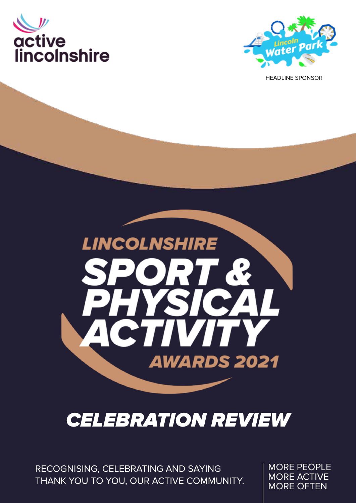



HEADLINE SPONSOR



### CELEBRATION REVIEW

RECOGNISING, CELEBRATING AND SAYING THANK YOU TO YOU, OUR ACTIVE COMMUNITY. MORE PEOPLE MORE ACTIVE MORE OFTEN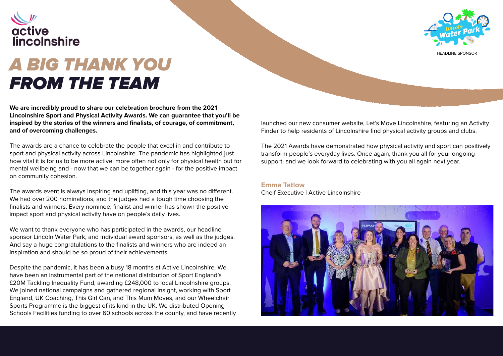

### A BIG THANK YOU FROM THE TEAM

**We are incredibly proud to share our celebration brochure from the 2021 Lincolnshire Sport and Physical Activity Awards. We can guarantee that you'll be inspired by the stories of the winners and finalists, of courage, of commitment, and of overcoming challenges.**

The awards are a chance to celebrate the people that excel in and contribute to sport and physical activity across Lincolnshire. The pandemic has highlighted just how vital it is for us to be more active, more often not only for physical health but for mental wellbeing and - now that we can be together again - for the positive impact on community cohesion.

We want to thank everyone who has participated in the awards, our headline sponsor Lincoln Water Park, and individual award sponsors, as well as the judges. And say a huge congratulations to the finalists and winners who are indeed an inspiration and should be so proud of their achievements.

The awards event is always inspiring and uplifting, and this year was no different. We had over 200 nominations, and the judges had a tough time choosing the finalists and winners. Every nominee, finalist and winner has shown the positive impact sport and physical activity have on people's daily lives.

Despite the pandemic, it has been a busy 18 months at Active Lincolnshire. We have been an instrumental part of the national distribution of Sport England's £20M Tackling Inequality Fund, awarding £248,000 to local Lincolnshire groups. We joined national campaigns and gathered regional insight, working with Sport England, UK Coaching, This Girl Can, and This Mum Moves, and our Wheelchair Sports Programme is the biggest of its kind in the UK. We distributed Opening Schools Facilities funding to over 60 schools across the county, and have recently launched our new consumer website, Let's Move Lincolnshire, featuring an Activity Finder to help residents of Lincolnshire find physical activity groups and clubs.

The 2021 Awards have demonstrated how physical activity and sport can positively transform people's everyday lives. Once again, thank you all for your ongoing support, and we look forward to celebrating with you all again next year.

#### **Emma Tatlow**

Cheif Executive | Active Lincolnshire





HEADLINE SPONSOR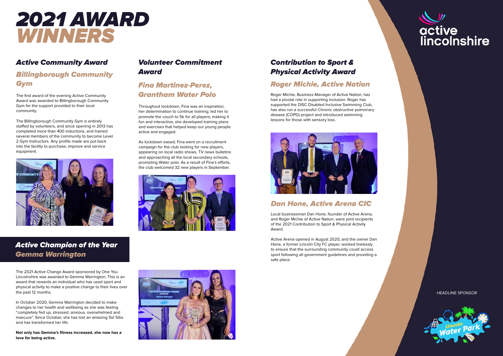#### Active Community Award

#### Billingborough Community Gym

The first award of the evening Active Community Award was awarded to Billingborough Community Gym for the support provided to their local community.

The Billingborough Community Gym is entirely staffed by volunteers, and since opening in 2013 has completed more than 400 inductions, and trained several members of the community to become Level 2 Gym Instructors. Any profits made are put back into the facility to purchase, improve and service equipment.



#### Active Champion of the Year Gemma Warrington

#### Volunteer Commitment Award

#### Fina Martinez-Perez, Grantham Water Polo

Throughout lockdown, Fina was an inspiration; her determination to continue training; led her to promote the couch to 5k for all players; making it fun and interactive; she developed training plans and exercises that helped keep our young people active and engaged.

As lockdown eased, Fina went on a recruitment campaign for the club looking for new players, appearing on local radio shows, TV news bulletins and approaching all the local secondary schools, promoting Water polo. As a result of Fina's efforts, the club welcomed 32 new players in September.





#### Dan Hone, Active Arena CIC

Local businessman Dan Hone, founder of Active Arena, and Roger Michie of Active Nation, were joint recipients of the 2021 Contribution to Sport & Physical Activity Award.

Active Arena opened in August 2020, and the owner Dan Hone, a former Lincoln City FC player, worked tirelessly to ensure that the surrounding community could access sport following all government guidelines and providing a safe place.



#### Contribution to Sport & Physical Activity Award

#### Roger Michie, Active Nation

Roger Michie, Business Manager of Active Nation, has had a pivotal role in supporting inclusion. Roger has supported the DISC Disabled Inclusive Swimming Club, has also run a successful Chronic obstructive pulmonary disease (COPD) project and introduced swimming lessons for those with sensory loss.



The 2021 Active Change Award sponsored by One You Lincolnshire was awarded to Gemma Warrington. This is an award that rewards an individual who has used sport and physical activity to make a positive change to their lives over the past 12 months.

In October 2020, Gemma Warrington decided to make changes to her health and wellbeing as she was feeling "completely fed up, stressed, anxious, overwhelmed and insecure". Since October, she has lost an amazing 5st 5lbs and has transformed her life.

**Not only has Gemma's fitness increased, she now has a love for being active.**

### 2021 AWARD WINNERS

HEADLINE SPONSOR

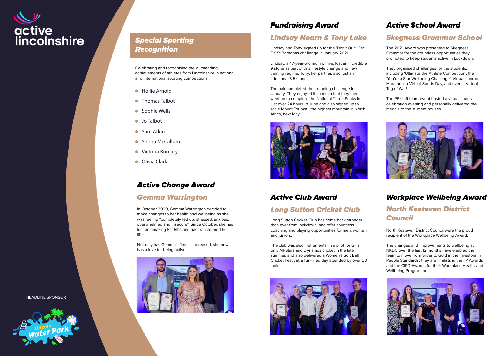#### Fundraising Award

#### Lindsay Nearn & Tony Lake

Lindsay and Tony signed up for the 'Don't Quit, Get Fit' St Barnabas challenge in January 2021.

Lindsay, a 47-year-old mum of five, lost an incredible 9 stone as part of this lifestyle change and new training regime. Tony, her partner, also lost an additional 3.5 stone.

The pair completed their running challenge in January. They enjoyed it so much that they then went on to complete the National Three Peaks in just over 24 hours in June and also signed up to scale Mount Toubkal, the highest mountain in North Africa, next May.



#### Active Club Award

#### Long Sutton Cricket Club

Long Sutton Cricket Club has come back stronger than ever from lockdown, and offer countless coaching and playing opportunities for men, women and juniors.

The club was also instrumental in a pilot for Girls only All-Stars and Dynamos cricket in the late summer, and also delivered a Women's Soft Ball Cricket Festival, a fun-filled day attended by over 50 ladies.



# active<br>lincolnshire

#### Special Sporting **Recognition**

#### Active School Award

#### Skegness Grammar School

The 2021 Award was presented to Skegness Grammar for the countless opportunities they promoted to keep students active in Lockdown.

- Hollie Arnold
- Thomas Talbot
- Sophie Wells
- Jo Talbot
- Sam Atkin
- Shona McCallum
- **Victoria Rumary**
- **Olivia Clark**

They organised challenges for the students, including 'Ultimate the Athlete Competition', the 'You're a Star Wellbeing Challenge', Virtual London Marathon, a Virtual Sports Day, and even a Virtual Tug of War!

The PE staff team event hosted a virtual sports celebration evening and personally delivered the medals to the student houses.



#### Workplace Wellbeing Award North Kesteven District Council

North Kesteven District Council were the proud recipient of the Workplace Wellbeing Award.

The changes and improvements to wellbeing at NKDC over the last 12 months have enabled the team to move from Silver to Gold in the Investors in People Standards; they are finalists in the IIP Awards and the CIPD Awards for their Workplace Health and Wellbeing Programme.



#### Active Change Award

#### Gemma Warrington

In October 2020, Gemma Warrington decided to make changes to her health and wellbeing as she was feeling "completely fed up, stressed, anxious, overwhelmed and insecure". Since October, she has lost an amazing 5st 5lbs and has transformed her life.

Not only has Gemma's fitness increased, she now has a love for being active.



Celebrating and recognising the outstanding achievements of athletes from Lincolnshire in national and international sporting competitions.

HEADLINE SPONSOR

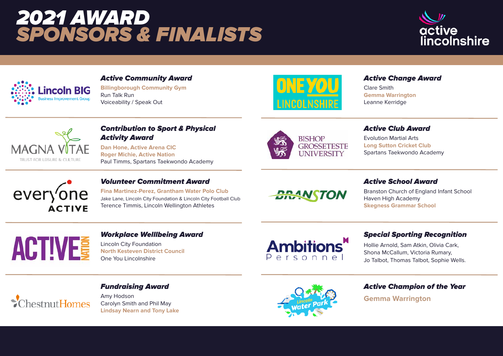#### Active Change Award

Clare Smith **Gemma Warrington** Leanne Kerridge



#### Active Club Award

Evolution Martial Arts **Long Sutton Cricket Club** Spartans Taekwondo Academy

#### Active School Award

Branston Church of England Infant School Haven High Academy **Skegness Grammar School**

#### Special Sporting Recognition

Hollie Arnold, Sam Atkin, Olivia Cark, Shona McCallum, Victoria Rumary, Jo Talbot, Thomas Talbot, Sophie Wells.



#### Active Champion of the Year

**Gemma Warrington**



#### Active Community Award

**Billingborough Community Gym** Run Talk Run Voiceability / Speak Out



#### Contribution to Sport & Physical Activity Award

**Dan Hone, Active Arena CIC Roger Michie, Active Nation** Paul Timms, Spartans Taekwondo Academy





#### Volunteer Commitment Award

**Fina Martinez-Perez, Grantham Water Polo Club** Jake Lane, Lincoln City Foundation & Lincoln City Football Club Terence Timmis, Lincoln Wellington Athletes

## **BRANSTON**

# **ACTIVE**

#### Workplace Welllbeing Award

Lincoln City Foundation **North Kesteven District Council** One You Lincolnshire



#### Fundraising Award

Amy Hodson Carolyn Smith and Phil May **Lindsay Nearn and Tony Lake**



## 2021 AWARD SPONSORS & FINALISTS